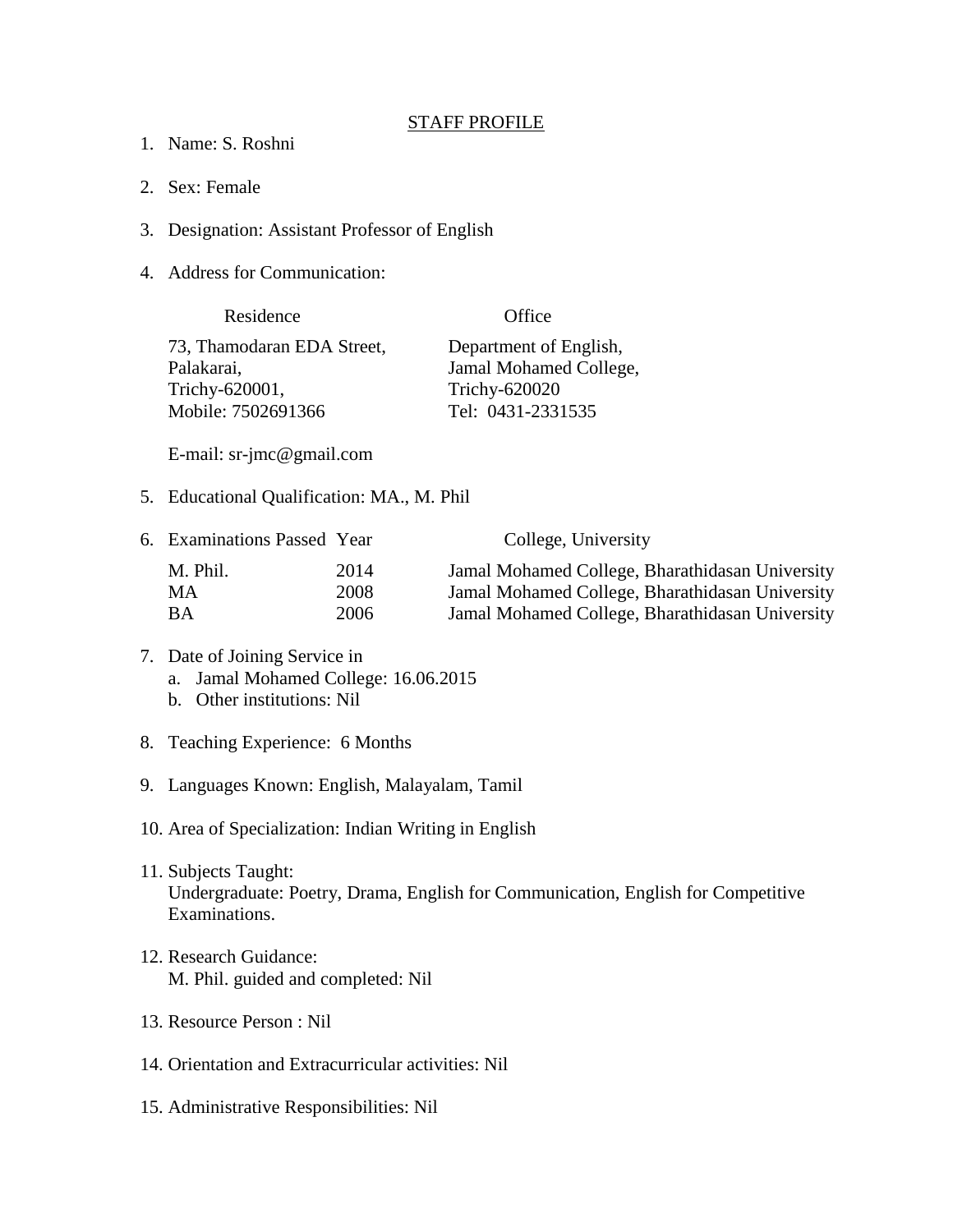## STAFF PROFILE

- 1. Name: S. Roshni
- 2. Sex: Female
- 3. Designation: Assistant Professor of English
- 4. Address for Communication:

| Residence                  | Office                 |
|----------------------------|------------------------|
| 73, Thamodaran EDA Street, | Department of English, |
| Palakarai,                 | Jamal Mohamed College, |
| Trichy-620001,             | Trichy-620020          |
| Mobile: 7502691366         | Tel: 0431-2331535      |

E-mail: sr-jmc@gmail.com

5. Educational Qualification: MA., M. Phil

|          |      | College, University                             |
|----------|------|-------------------------------------------------|
| M. Phil. | 2014 | Jamal Mohamed College, Bharathidasan University |
| MA.      | 2008 | Jamal Mohamed College, Bharathidasan University |
| ВA       | 2006 | Jamal Mohamed College, Bharathidasan University |
|          |      | 6. Examinations Passed Year                     |

## 7. Date of Joining Service in a. Jamal Mohamed College: 16.06.2015 b. Other institutions: Nil

- 8. Teaching Experience: 6 Months
- 9. Languages Known: English, Malayalam, Tamil
- 10. Area of Specialization: Indian Writing in English
- 11. Subjects Taught: Undergraduate: Poetry, Drama, English for Communication, English for Competitive Examinations.
- 12. Research Guidance: M. Phil. guided and completed: Nil
- 13. Resource Person : Nil
- 14. Orientation and Extracurricular activities: Nil
- 15. Administrative Responsibilities: Nil